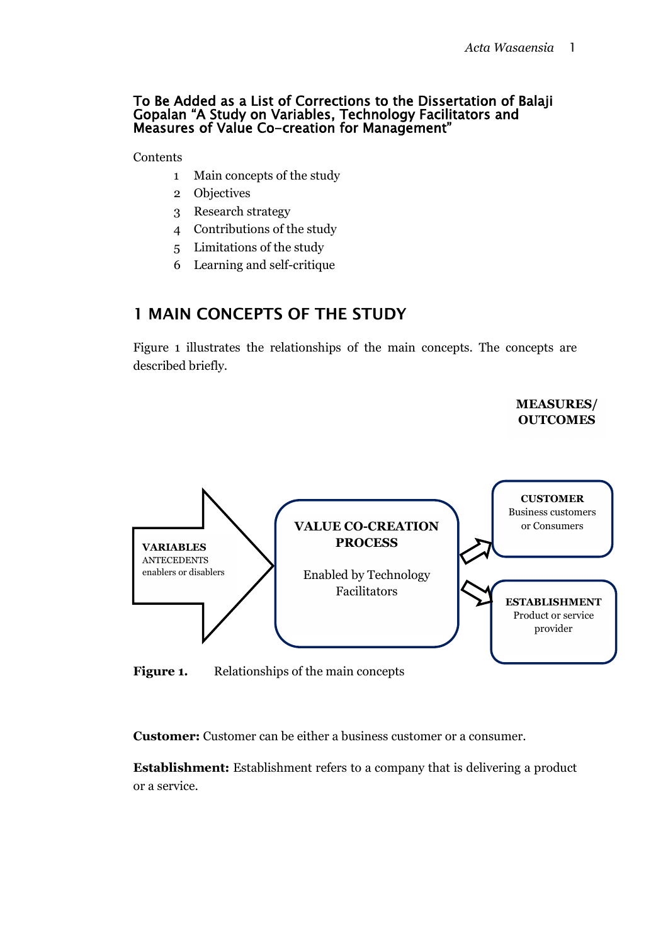#### To Be Added as a List of Corrections to the Dissertation of Balaji Gopalan "A Study on Variables, Technology Facilitators and Measures of Value Co-creation for Management"

**Contents** 

- 1 Main concepts of the study
- 2 Objectives
- 3 Research strategy
- 4 Contributions of the study
- 5 Limitations of the study
- 6 Learning and self-critique

#### 1 MAIN CONCEPTS OF THE STUDY

Figure 1 illustrates the relationships of the main concepts. The concepts are described briefly.

> **MEASURES/ OUTCOMES**



Figure 1. Relationships of the main concepts

**Customer:** Customer can be either a business customer or a consumer.

**Establishment:** Establishment refers to a company that is delivering a product or a service.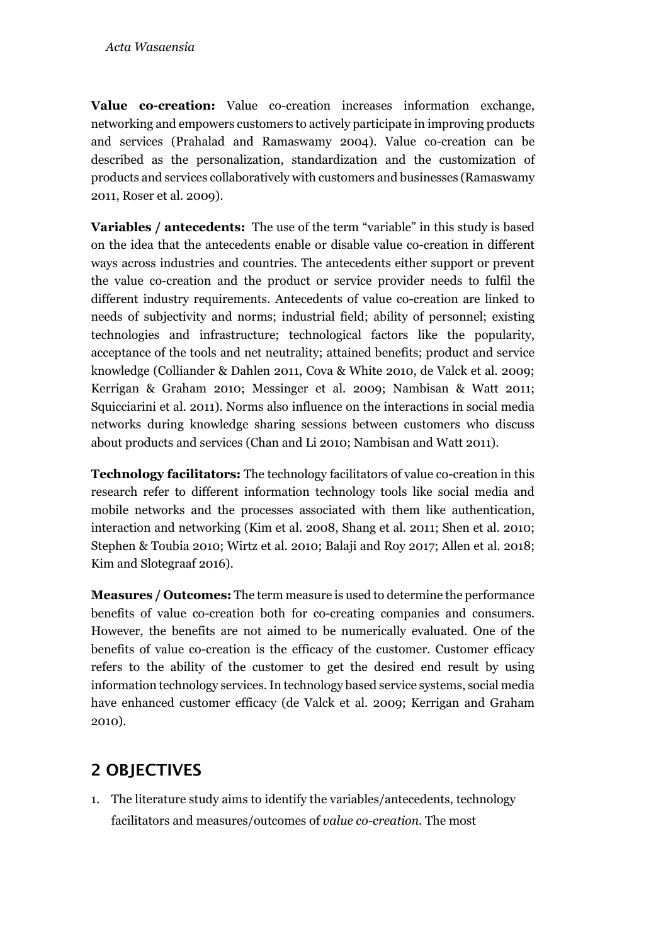**Value co-creation:** Value co-creation increases information exchange, networking and empowers customers to actively participate in improving products and services (Prahalad and Ramaswamy 2004). Value co-creation can be described as the personalization, standardization and the customization of products and services collaboratively with customers and businesses (Ramaswamy 2011, Roser et al. 2009).

**Variables / antecedents:** The use of the term "variable" in this study is based on the idea that the antecedents enable or disable value co-creation in different ways across industries and countries. The antecedents either support or prevent the value co-creation and the product or service provider needs to fulfil the different industry requirements. Antecedents of value co-creation are linked to needs of subjectivity and norms; industrial field; ability of personnel; existing technologies and infrastructure; technological factors like the popularity, acceptance of the tools and net neutrality; attained benefits; product and service knowledge (Colliander & Dahlen 2011, Cova & White 2010, de Valck et al. 2009; Kerrigan & Graham 2010; Messinger et al. 2009; Nambisan & Watt 2011; Squicciarini et al. 2011). Norms also influence on the interactions in social media networks during knowledge sharing sessions between customers who discuss about products and services (Chan and Li 2010; Nambisan and Watt 2011).

**Technology facilitators:** The technology facilitators of value co-creation in this research refer to different information technology tools like social media and mobile networks and the processes associated with them like authentication, interaction and networking (Kim et al. 2008, Shang et al. 2011; Shen et al. 2010; Stephen & Toubia 2010; Wirtz et al. 2010; Balaji and Roy 2017; Allen et al. 2018; Kim and Slotegraaf 2016).

**Measures / Outcomes:** The term measure is used to determine the performance benefits of value co-creation both for co-creating companies and consumers. However, the benefits are not aimed to be numerically evaluated. One of the benefits of value co-creation is the efficacy of the customer. Customer efficacy refers to the ability of the customer to get the desired end result by using information technology services. In technology based service systems, social media have enhanced customer efficacy (de Valck et al. 2009; Kerrigan and Graham 2010).

## 2 OBJECTIVES

1. The literature study aims to identify the variables/antecedents, technology facilitators and measures/outcomes of *value co-creation*. The most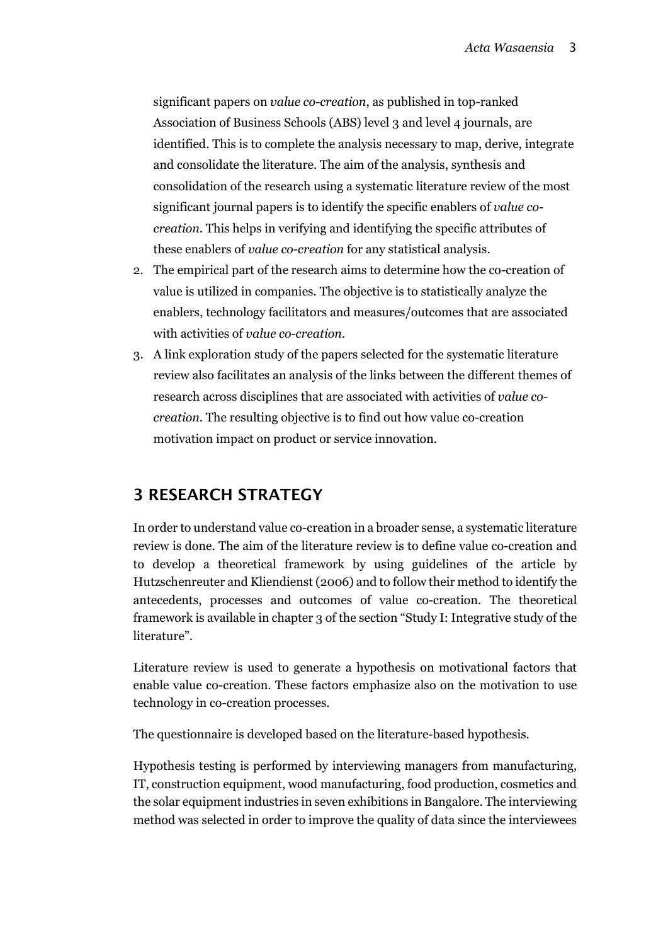significant papers on *value co-creation*, as published in top-ranked Association of Business Schools (ABS) level 3 and level 4 journals, are identified. This is to complete the analysis necessary to map, derive, integrate and consolidate the literature. The aim of the analysis, synthesis and consolidation of the research using a systematic literature review of the most significant journal papers is to identify the specific enablers of *value cocreation*. This helps in verifying and identifying the specific attributes of these enablers of *value co-creation* for any statistical analysis.

- 2. The empirical part of the research aims to determine how the co-creation of value is utilized in companies. The objective is to statistically analyze the enablers, technology facilitators and measures/outcomes that are associated with activities of *value co-creation*.
- 3. A link exploration study of the papers selected for the systematic literature review also facilitates an analysis of the links between the different themes of research across disciplines that are associated with activities of *value cocreation*. The resulting objective is to find out how value co-creation motivation impact on product or service innovation.

## 3 RESEARCH STRATEGY

In order to understand value co-creation in a broader sense, a systematic literature review is done. The aim of the literature review is to define value co-creation and to develop a theoretical framework by using guidelines of the article by Hutzschenreuter and Kliendienst (2006) and to follow their method to identify the antecedents, processes and outcomes of value co-creation. The theoretical framework is available in chapter 3 of the section "Study I: Integrative study of the literature".

Literature review is used to generate a hypothesis on motivational factors that enable value co-creation. These factors emphasize also on the motivation to use technology in co-creation processes.

The questionnaire is developed based on the literature-based hypothesis.

Hypothesis testing is performed by interviewing managers from manufacturing, IT, construction equipment, wood manufacturing, food production, cosmetics and the solar equipment industries in seven exhibitions in Bangalore. The interviewing method was selected in order to improve the quality of data since the interviewees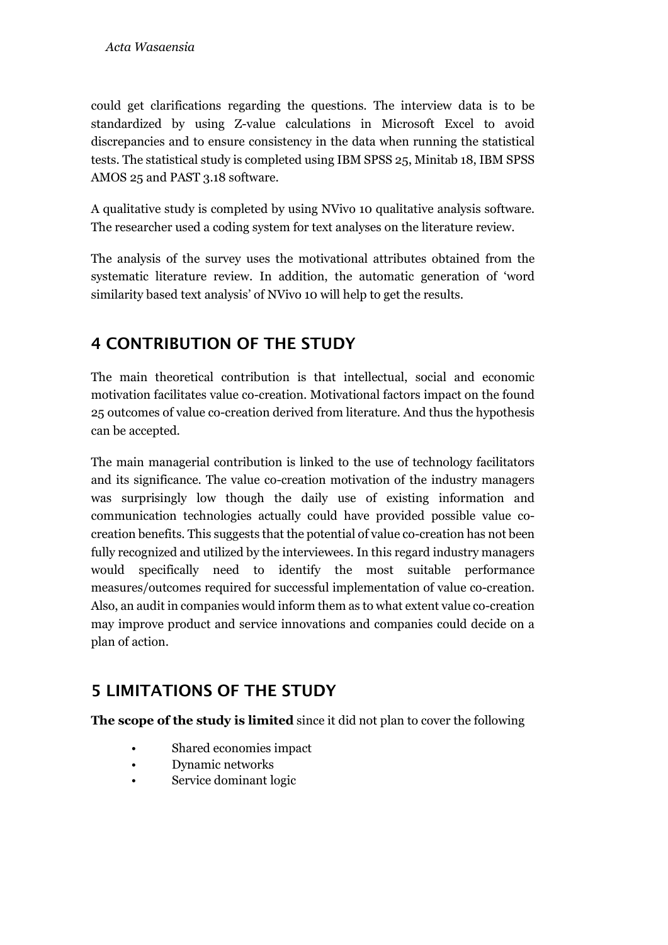could get clarifications regarding the questions. The interview data is to be standardized by using Z-value calculations in Microsoft Excel to avoid discrepancies and to ensure consistency in the data when running the statistical tests. The statistical study is completed using IBM SPSS 25, Minitab 18, IBM SPSS AMOS 25 and PAST 3.18 software.

A qualitative study is completed by using NVivo 10 qualitative analysis software. The researcher used a coding system for text analyses on the literature review.

The analysis of the survey uses the motivational attributes obtained from the systematic literature review. In addition, the automatic generation of 'word similarity based text analysis' of NVivo 10 will help to get the results.

# 4 CONTRIBUTION OF THE STUDY

The main theoretical contribution is that intellectual, social and economic motivation facilitates value co-creation. Motivational factors impact on the found 25 outcomes of value co-creation derived from literature. And thus the hypothesis can be accepted.

The main managerial contribution is linked to the use of technology facilitators and its significance. The value co-creation motivation of the industry managers was surprisingly low though the daily use of existing information and communication technologies actually could have provided possible value cocreation benefits. This suggests that the potential of value co-creation has not been fully recognized and utilized by the interviewees. In this regard industry managers would specifically need to identify the most suitable performance measures/outcomes required for successful implementation of value co-creation. Also, an audit in companies would inform them as to what extent value co-creation may improve product and service innovations and companies could decide on a plan of action.

## 5 LIMITATIONS OF THE STUDY

**The scope of the study is limited** since it did not plan to cover the following

- Shared economies impact
- Dynamic networks
- Service dominant logic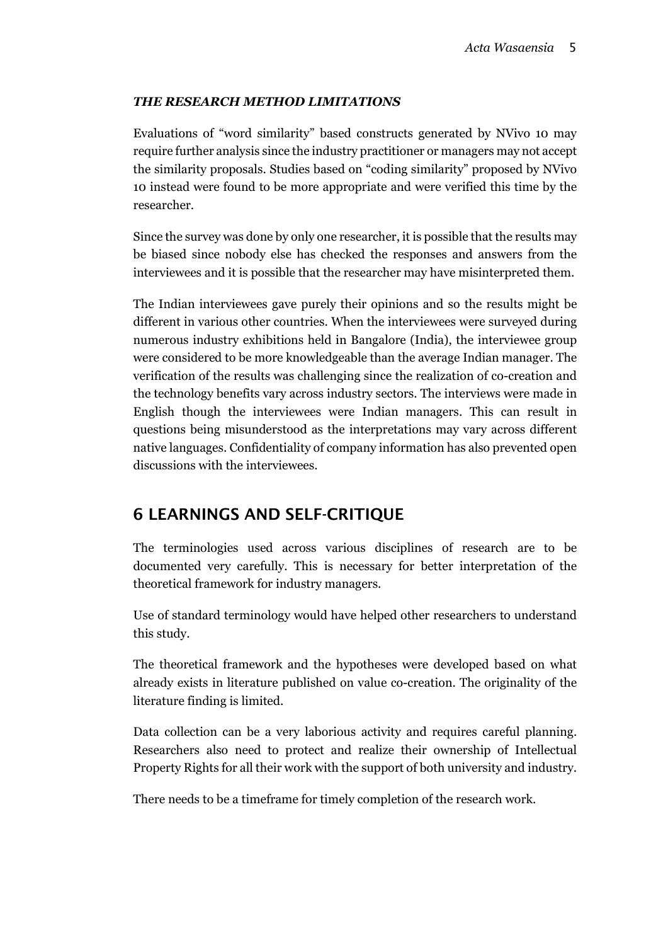#### *THE RESEARCH METHOD LIMITATIONS*

Evaluations of "word similarity" based constructs generated by NVivo 10 may require further analysis since the industry practitioner or managers may not accept the similarity proposals. Studies based on "coding similarity" proposed by NVivo 10 instead were found to be more appropriate and were verified this time by the researcher.

Since the survey was done by only one researcher, it is possible that the results may be biased since nobody else has checked the responses and answers from the interviewees and it is possible that the researcher may have misinterpreted them.

The Indian interviewees gave purely their opinions and so the results might be different in various other countries. When the interviewees were surveyed during numerous industry exhibitions held in Bangalore (India), the interviewee group were considered to be more knowledgeable than the average Indian manager. The verification of the results was challenging since the realization of co-creation and the technology benefits vary across industry sectors. The interviews were made in English though the interviewees were Indian managers. This can result in questions being misunderstood as the interpretations may vary across different native languages. Confidentiality of company information has also prevented open discussions with the interviewees.

## 6 LEARNINGS AND SELF-CRITIQUE

The terminologies used across various disciplines of research are to be documented very carefully. This is necessary for better interpretation of the theoretical framework for industry managers.

Use of standard terminology would have helped other researchers to understand this study.

The theoretical framework and the hypotheses were developed based on what already exists in literature published on value co-creation. The originality of the literature finding is limited.

Data collection can be a very laborious activity and requires careful planning. Researchers also need to protect and realize their ownership of Intellectual Property Rights for all their work with the support of both university and industry.

There needs to be a timeframe for timely completion of the research work.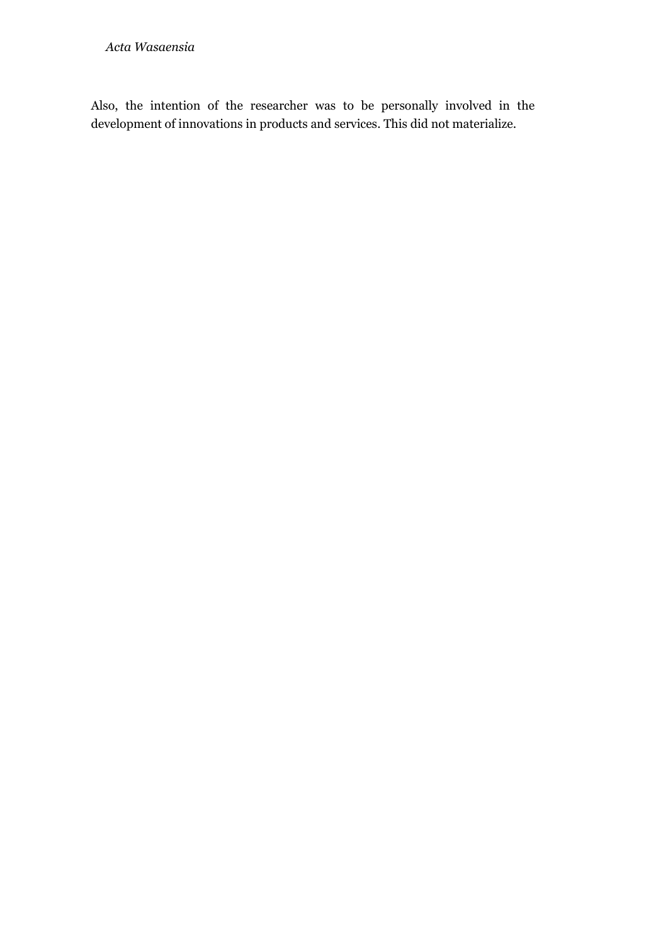Also, the intention of the researcher was to be personally involved in the development of innovations in products and services. This did not materialize.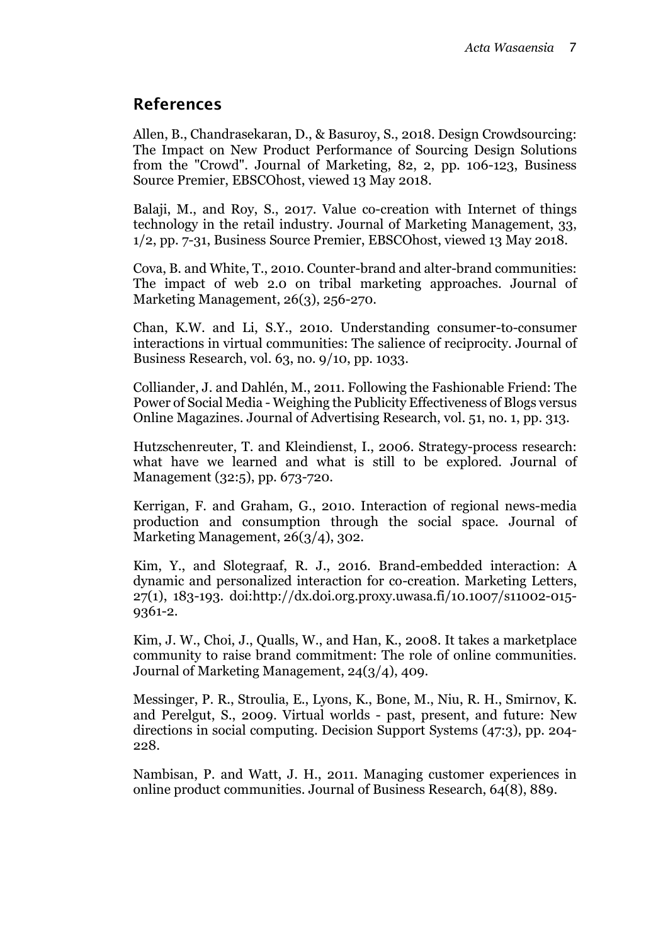## References

Allen, B., Chandrasekaran, D., & Basuroy, S., 2018. Design Crowdsourcing: The Impact on New Product Performance of Sourcing Design Solutions from the "Crowd". Journal of Marketing, 82, 2, pp. 106-123, Business Source Premier, EBSCOhost, viewed 13 May 2018.

Balaji, M., and Roy, S., 2017. Value co-creation with Internet of things technology in the retail industry. Journal of Marketing Management, 33, 1/2, pp. 7-31, Business Source Premier, EBSCOhost, viewed 13 May 2018.

Cova, B. and White, T., 2010. Counter-brand and alter-brand communities: The impact of web 2.0 on tribal marketing approaches. Journal of Marketing Management, 26(3), 256-270.

Chan, K.W. and Li, S.Y., 2010. Understanding consumer-to-consumer interactions in virtual communities: The salience of reciprocity. Journal of Business Research, vol. 63, no. 9/10, pp. 1033.

Colliander, J. and Dahlén, M., 2011. Following the Fashionable Friend: The Power of Social Media - Weighing the Publicity Effectiveness of Blogs versus Online Magazines. Journal of Advertising Research, vol. 51, no. 1, pp. 313.

Hutzschenreuter, T. and Kleindienst, I., 2006. Strategy-process research: what have we learned and what is still to be explored. Journal of Management (32:5), pp. 673-720.

Kerrigan, F. and Graham, G., 2010. Interaction of regional news-media production and consumption through the social space. Journal of Marketing Management, 26(3/4), 302.

Kim, Y., and Slotegraaf, R. J., 2016. Brand-embedded interaction: A dynamic and personalized interaction for co-creation. Marketing Letters, 27(1), 183-193. doi:http://dx.doi.org.proxy.uwasa.fi/10.1007/s11002-015- 9361-2.

Kim, J. W., Choi, J., Qualls, W., and Han, K., 2008. It takes a marketplace community to raise brand commitment: The role of online communities. Journal of Marketing Management, 24(3/4), 409.

Messinger, P. R., Stroulia, E., Lyons, K., Bone, M., Niu, R. H., Smirnov, K. and Perelgut, S., 2009. Virtual worlds - past, present, and future: New directions in social computing. Decision Support Systems (47:3), pp. 204- 228.

Nambisan, P. and Watt, J. H., 2011. Managing customer experiences in online product communities. Journal of Business Research, 64(8), 889.